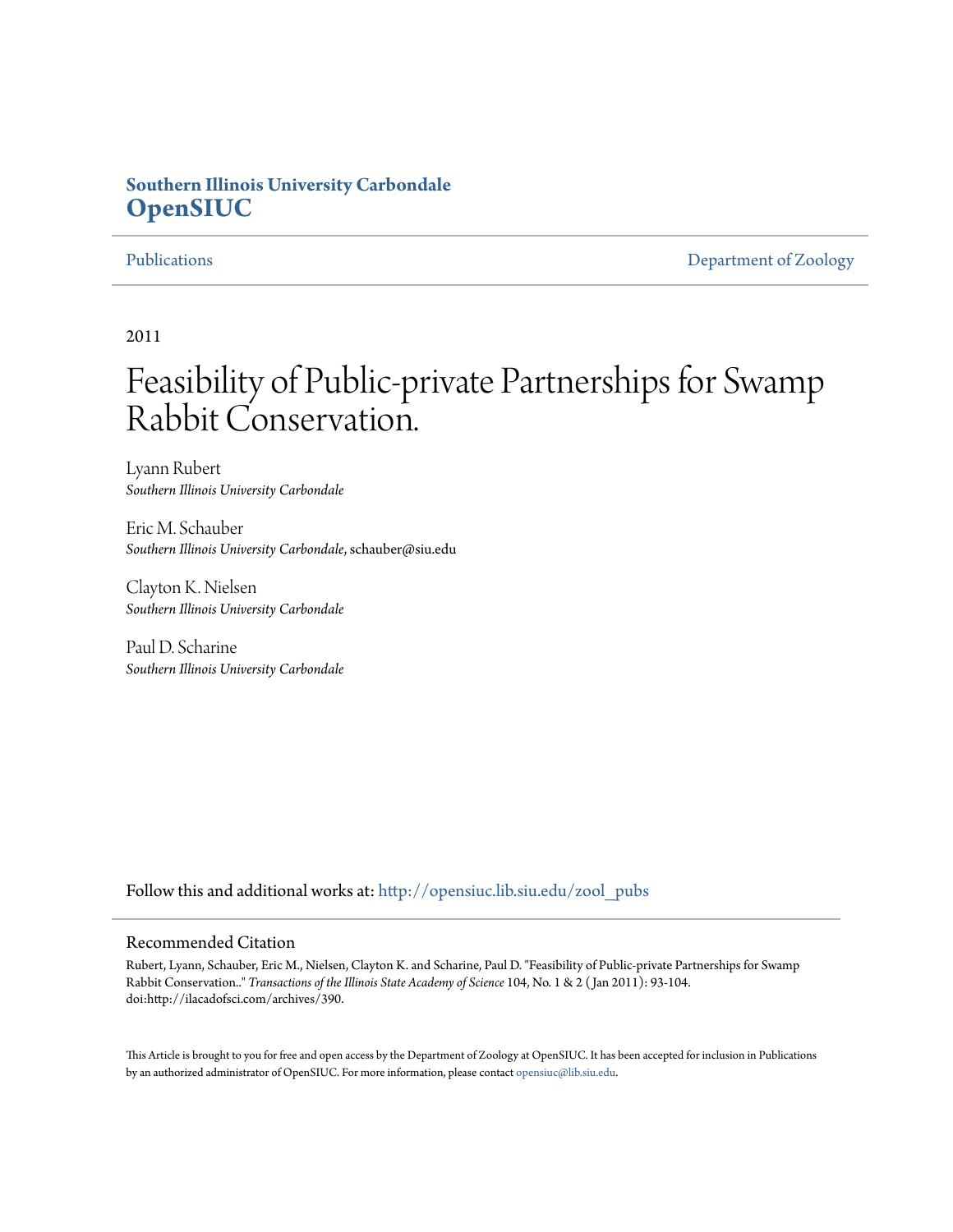### **Southern Illinois University Carbondale [OpenSIUC](http://opensiuc.lib.siu.edu?utm_source=opensiuc.lib.siu.edu%2Fzool_pubs%2F106&utm_medium=PDF&utm_campaign=PDFCoverPages)**

[Publications](http://opensiuc.lib.siu.edu/zool_pubs?utm_source=opensiuc.lib.siu.edu%2Fzool_pubs%2F106&utm_medium=PDF&utm_campaign=PDFCoverPages) **[Department of Zoology](http://opensiuc.lib.siu.edu/zool?utm_source=opensiuc.lib.siu.edu%2Fzool_pubs%2F106&utm_medium=PDF&utm_campaign=PDFCoverPages)** 

2011

# Feasibility of Public-private Partnerships for Swamp Rabbit Conservation.

Lyann Rubert *Southern Illinois University Carbondale*

Eric M. Schauber *Southern Illinois University Carbondale*, schauber@siu.edu

Clayton K. Nielsen *Southern Illinois University Carbondale*

Paul D. Scharine *Southern Illinois University Carbondale*

Follow this and additional works at: [http://opensiuc.lib.siu.edu/zool\\_pubs](http://opensiuc.lib.siu.edu/zool_pubs?utm_source=opensiuc.lib.siu.edu%2Fzool_pubs%2F106&utm_medium=PDF&utm_campaign=PDFCoverPages)

#### Recommended Citation

Rubert, Lyann, Schauber, Eric M., Nielsen, Clayton K. and Scharine, Paul D. "Feasibility of Public-private Partnerships for Swamp Rabbit Conservation.." *Transactions of the Illinois State Academy of Science* 104, No. 1 & 2 ( Jan 2011): 93-104. doi:http://ilacadofsci.com/archives/390.

This Article is brought to you for free and open access by the Department of Zoology at OpenSIUC. It has been accepted for inclusion in Publications by an authorized administrator of OpenSIUC. For more information, please contact [opensiuc@lib.siu.edu.](mailto:opensiuc@lib.siu.edu)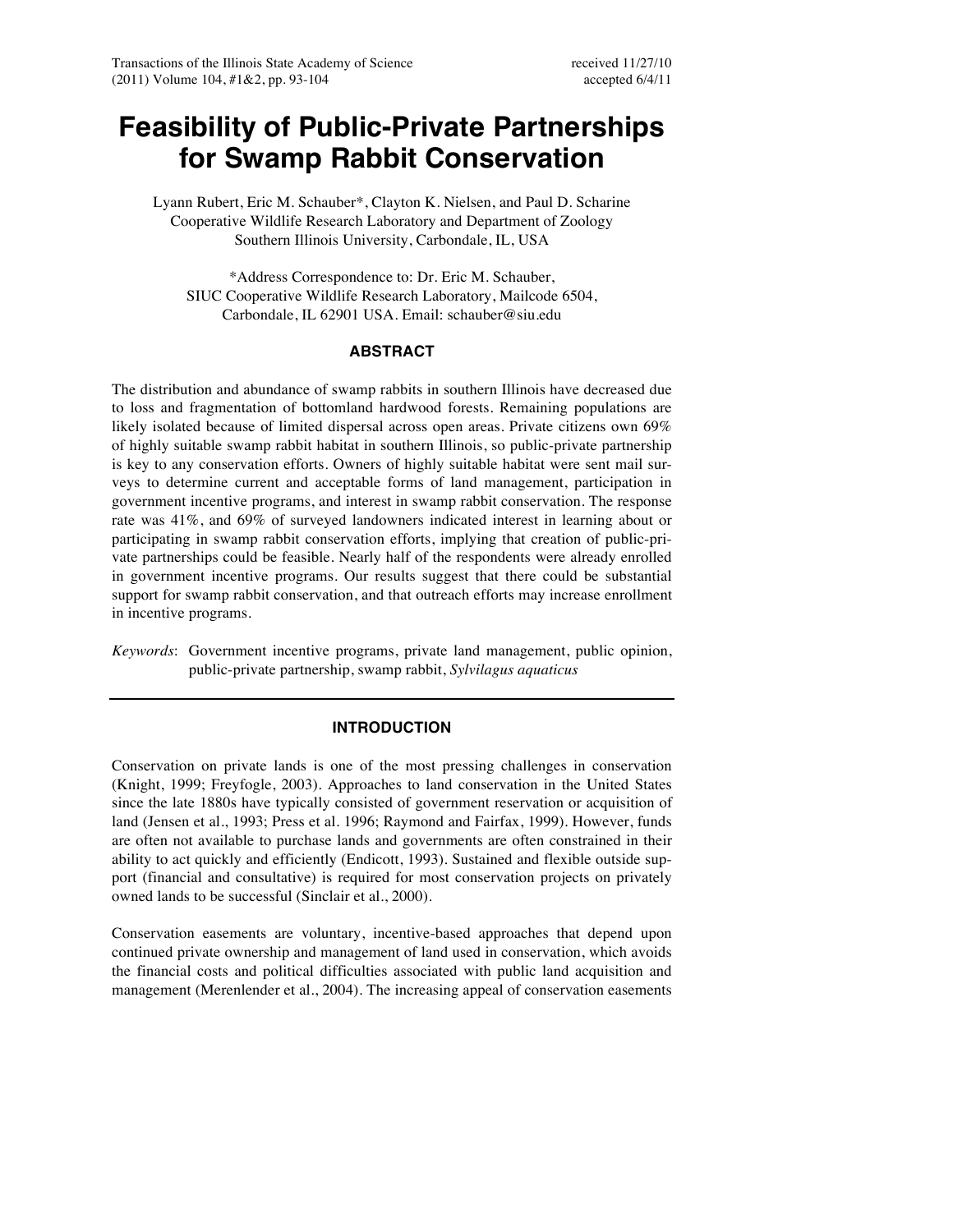## **Feasibility of Public-Private Partnerships for Swamp Rabbit Conservation**

Lyann Rubert, Eric M. Schauber\*, Clayton K. Nielsen, and Paul D. Scharine Cooperative Wildlife Research Laboratory and Department of Zoology Southern Illinois University, Carbondale, IL, USA

\*Address Correspondence to: Dr. Eric M. Schauber, SIUC Cooperative Wildlife Research Laboratory, Mailcode 6504, Carbondale, IL 62901 USA. Email: schauber@siu.edu

### **ABSTRACT**

The distribution and abundance of swamp rabbits in southern Illinois have decreased due to loss and fragmentation of bottomland hardwood forests. Remaining populations are likely isolated because of limited dispersal across open areas. Private citizens own 69% of highly suitable swamp rabbit habitat in southern Illinois, so public-private partnership is key to any conservation efforts. Owners of highly suitable habitat were sent mail surveys to determine current and acceptable forms of land management, participation in government incentive programs, and interest in swamp rabbit conservation. The response rate was 41%, and 69% of surveyed landowners indicated interest in learning about or participating in swamp rabbit conservation efforts, implying that creation of public-private partnerships could be feasible. Nearly half of the respondents were already enrolled in government incentive programs. Our results suggest that there could be substantial support for swamp rabbit conservation, and that outreach efforts may increase enrollment in incentive programs.

*Keywords*: Government incentive programs, private land management, public opinion, public-private partnership, swamp rabbit, *Sylvilagus aquaticus*

#### **INTRODUCTION**

Conservation on private lands is one of the most pressing challenges in conservation (Knight, 1999; Freyfogle, 2003). Approaches to land conservation in the United States since the late 1880s have typically consisted of government reservation or acquisition of land (Jensen et al., 1993; Press et al. 1996; Raymond and Fairfax, 1999). However, funds are often not available to purchase lands and governments are often constrained in their ability to act quickly and efficiently (Endicott, 1993). Sustained and flexible outside support (financial and consultative) is required for most conservation projects on privately owned lands to be successful (Sinclair et al., 2000).

Conservation easements are voluntary, incentive-based approaches that depend upon continued private ownership and management of land used in conservation, which avoids the financial costs and political difficulties associated with public land acquisition and management (Merenlender et al., 2004). The increasing appeal of conservation easements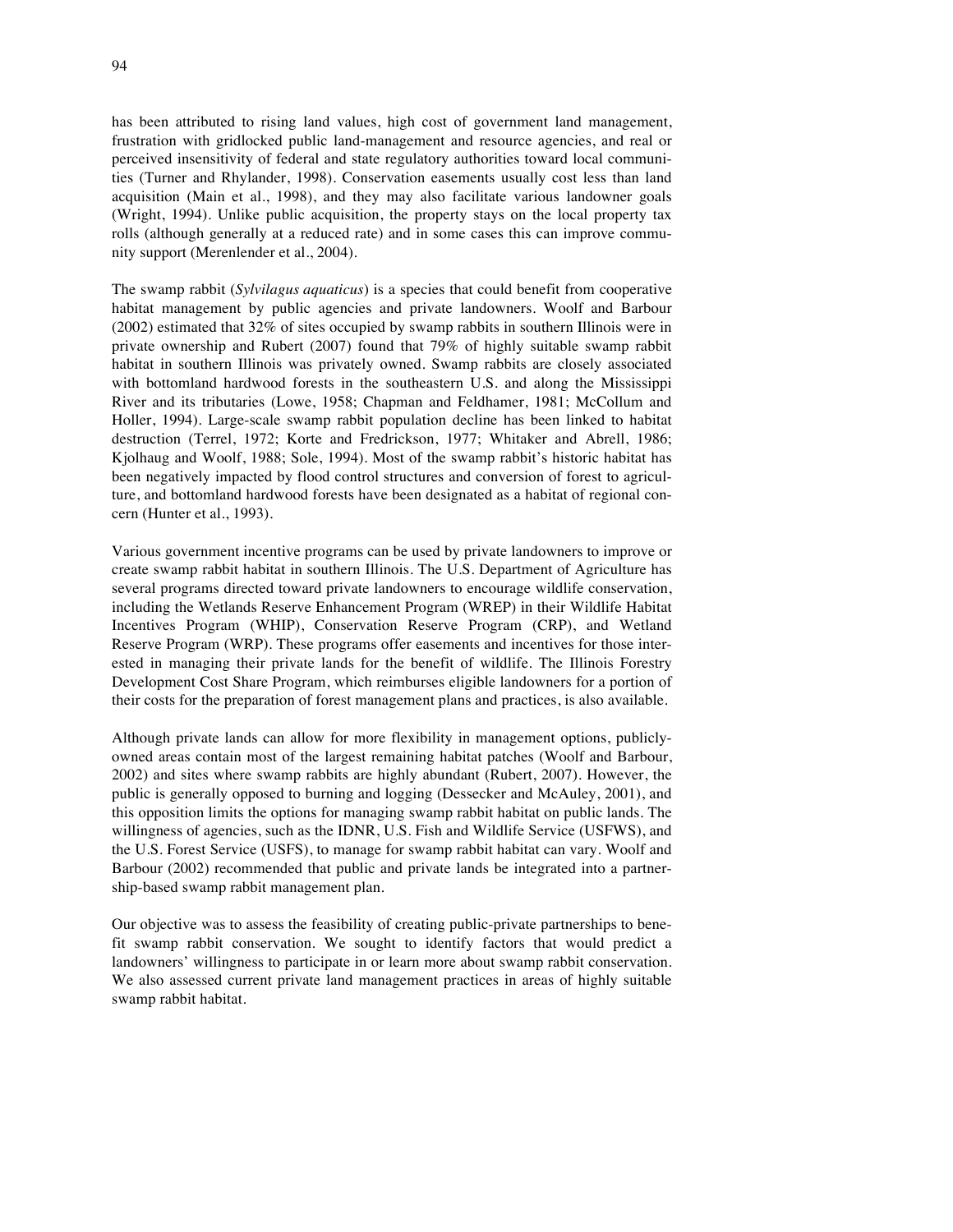has been attributed to rising land values, high cost of government land management, frustration with gridlocked public land-management and resource agencies, and real or perceived insensitivity of federal and state regulatory authorities toward local communities (Turner and Rhylander, 1998). Conservation easements usually cost less than land acquisition (Main et al., 1998), and they may also facilitate various landowner goals (Wright, 1994). Unlike public acquisition, the property stays on the local property tax rolls (although generally at a reduced rate) and in some cases this can improve community support (Merenlender et al., 2004).

The swamp rabbit (*Sylvilagus aquaticus*) is a species that could benefit from cooperative habitat management by public agencies and private landowners. Woolf and Barbour (2002) estimated that 32% of sites occupied by swamp rabbits in southern Illinois were in private ownership and Rubert (2007) found that 79% of highly suitable swamp rabbit habitat in southern Illinois was privately owned. Swamp rabbits are closely associated with bottomland hardwood forests in the southeastern U.S. and along the Mississippi River and its tributaries (Lowe, 1958; Chapman and Feldhamer, 1981; McCollum and Holler, 1994). Large-scale swamp rabbit population decline has been linked to habitat destruction (Terrel, 1972; Korte and Fredrickson, 1977; Whitaker and Abrell, 1986; Kjolhaug and Woolf, 1988; Sole, 1994). Most of the swamp rabbit's historic habitat has been negatively impacted by flood control structures and conversion of forest to agriculture, and bottomland hardwood forests have been designated as a habitat of regional concern (Hunter et al., 1993).

Various government incentive programs can be used by private landowners to improve or create swamp rabbit habitat in southern Illinois. The U.S. Department of Agriculture has several programs directed toward private landowners to encourage wildlife conservation, including the Wetlands Reserve Enhancement Program (WREP) in their Wildlife Habitat Incentives Program (WHIP), Conservation Reserve Program (CRP), and Wetland Reserve Program (WRP). These programs offer easements and incentives for those interested in managing their private lands for the benefit of wildlife. The Illinois Forestry Development Cost Share Program, which reimburses eligible landowners for a portion of their costs for the preparation of forest management plans and practices, is also available.

Although private lands can allow for more flexibility in management options, publiclyowned areas contain most of the largest remaining habitat patches (Woolf and Barbour, 2002) and sites where swamp rabbits are highly abundant (Rubert, 2007). However, the public is generally opposed to burning and logging (Dessecker and McAuley, 2001), and this opposition limits the options for managing swamp rabbit habitat on public lands. The willingness of agencies, such as the IDNR, U.S. Fish and Wildlife Service (USFWS), and the U.S. Forest Service (USFS), to manage for swamp rabbit habitat can vary. Woolf and Barbour (2002) recommended that public and private lands be integrated into a partnership-based swamp rabbit management plan.

Our objective was to assess the feasibility of creating public-private partnerships to benefit swamp rabbit conservation. We sought to identify factors that would predict a landowners' willingness to participate in or learn more about swamp rabbit conservation. We also assessed current private land management practices in areas of highly suitable swamp rabbit habitat.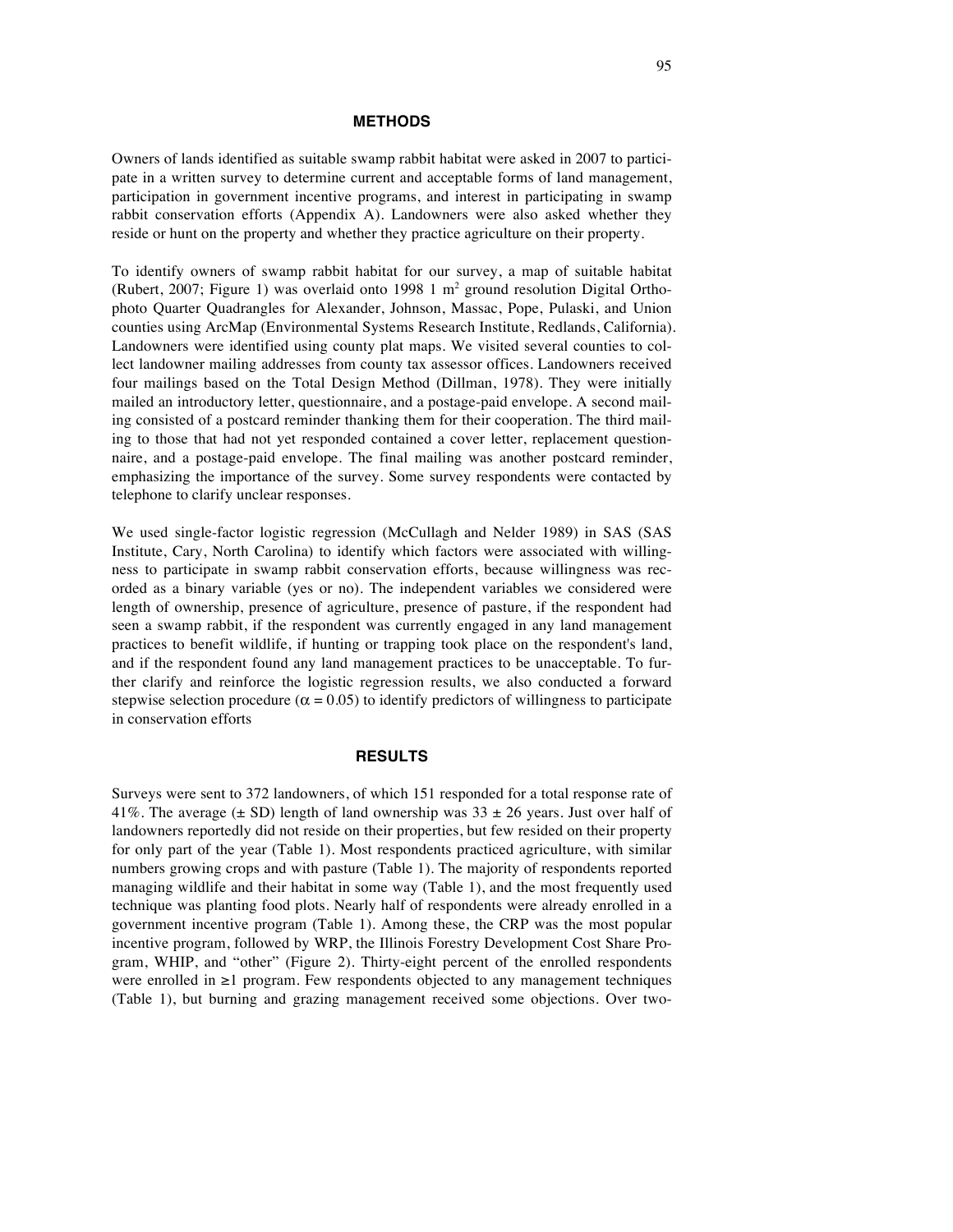#### **METHODS**

Owners of lands identified as suitable swamp rabbit habitat were asked in 2007 to participate in a written survey to determine current and acceptable forms of land management, participation in government incentive programs, and interest in participating in swamp rabbit conservation efforts (Appendix A). Landowners were also asked whether they reside or hunt on the property and whether they practice agriculture on their property.

To identify owners of swamp rabbit habitat for our survey, a map of suitable habitat (Rubert, 2007; Figure 1) was overlaid onto 1998 1  $m<sup>2</sup>$  ground resolution Digital Orthophoto Quarter Quadrangles for Alexander, Johnson, Massac, Pope, Pulaski, and Union counties using ArcMap (Environmental Systems Research Institute, Redlands, California). Landowners were identified using county plat maps. We visited several counties to collect landowner mailing addresses from county tax assessor offices. Landowners received four mailings based on the Total Design Method (Dillman, 1978). They were initially mailed an introductory letter, questionnaire, and a postage-paid envelope. A second mailing consisted of a postcard reminder thanking them for their cooperation. The third mailing to those that had not yet responded contained a cover letter, replacement questionnaire, and a postage-paid envelope. The final mailing was another postcard reminder, emphasizing the importance of the survey. Some survey respondents were contacted by telephone to clarify unclear responses.

We used single-factor logistic regression (McCullagh and Nelder 1989) in SAS (SAS Institute, Cary, North Carolina) to identify which factors were associated with willingness to participate in swamp rabbit conservation efforts, because willingness was recorded as a binary variable (yes or no). The independent variables we considered were length of ownership, presence of agriculture, presence of pasture, if the respondent had seen a swamp rabbit, if the respondent was currently engaged in any land management practices to benefit wildlife, if hunting or trapping took place on the respondent's land, and if the respondent found any land management practices to be unacceptable. To further clarify and reinforce the logistic regression results, we also conducted a forward stepwise selection procedure ( $\alpha = 0.05$ ) to identify predictors of willingness to participate in conservation efforts

#### **RESULTS**

Surveys were sent to 372 landowners, of which 151 responded for a total response rate of 41%. The average ( $\pm$  SD) length of land ownership was 33  $\pm$  26 years. Just over half of landowners reportedly did not reside on their properties, but few resided on their property for only part of the year (Table 1). Most respondents practiced agriculture, with similar numbers growing crops and with pasture (Table 1). The majority of respondents reported managing wildlife and their habitat in some way (Table 1), and the most frequently used technique was planting food plots. Nearly half of respondents were already enrolled in a government incentive program (Table 1). Among these, the CRP was the most popular incentive program, followed by WRP, the Illinois Forestry Development Cost Share Program, WHIP, and "other" (Figure 2). Thirty-eight percent of the enrolled respondents were enrolled in  $\geq 1$  program. Few respondents objected to any management techniques (Table 1), but burning and grazing management received some objections. Over two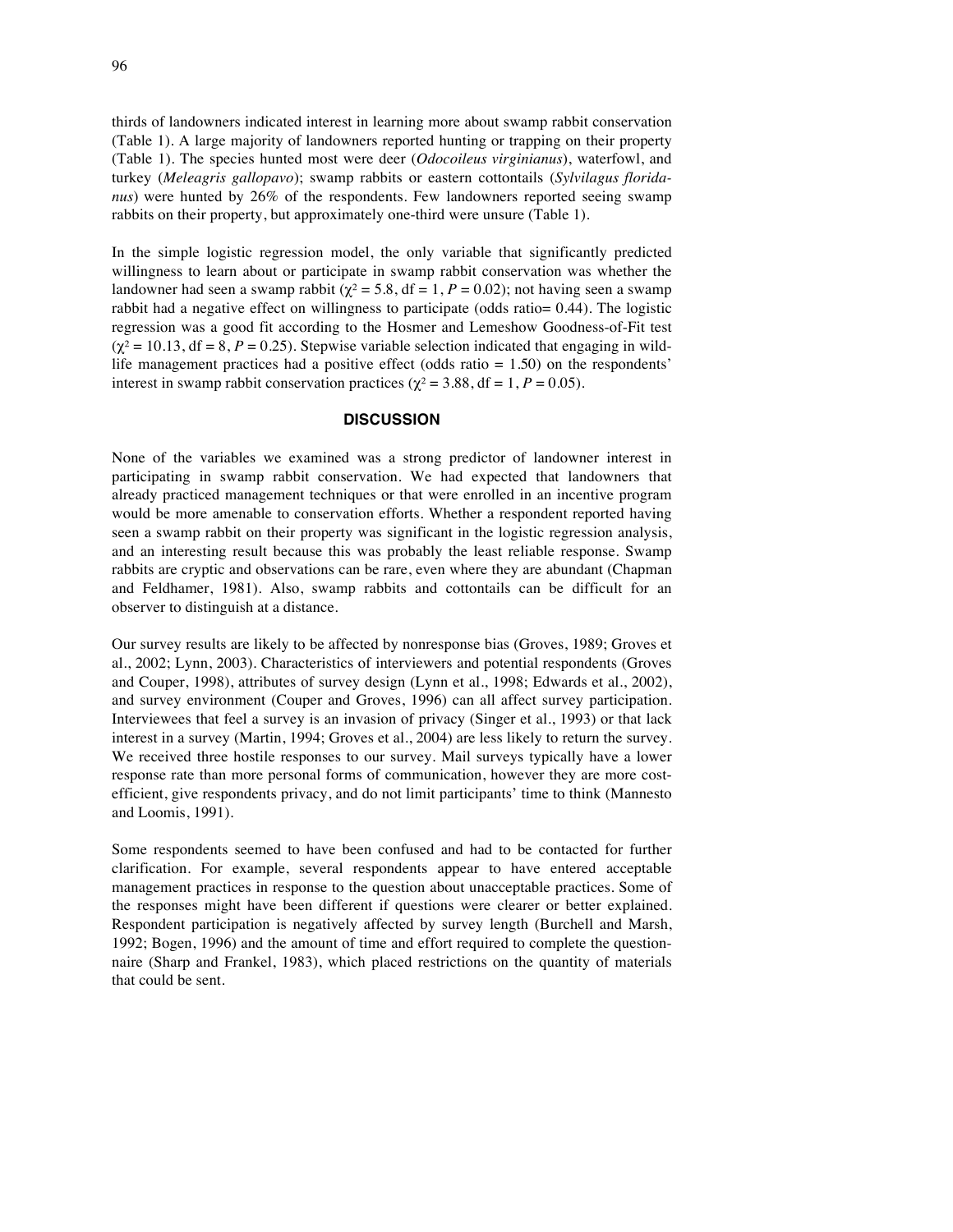thirds of landowners indicated interest in learning more about swamp rabbit conservation (Table 1). A large majority of landowners reported hunting or trapping on their property (Table 1). The species hunted most were deer (*Odocoileus virginianus*), waterfowl, and turkey (*Meleagris gallopavo*); swamp rabbits or eastern cottontails (*Sylvilagus floridanus*) were hunted by 26% of the respondents. Few landowners reported seeing swamp rabbits on their property, but approximately one-third were unsure (Table 1).

In the simple logistic regression model, the only variable that significantly predicted willingness to learn about or participate in swamp rabbit conservation was whether the landowner had seen a swamp rabbit ( $\chi^2$  = 5.8, df = 1, P = 0.02); not having seen a swamp rabbit had a negative effect on willingness to participate (odds ratio= 0.44). The logistic regression was a good fit according to the Hosmer and Lemeshow Goodness-of-Fit test  $(\chi^2 = 10.13, df = 8, P = 0.25)$ . Stepwise variable selection indicated that engaging in wildlife management practices had a positive effect (odds ratio  $= 1.50$ ) on the respondents' interest in swamp rabbit conservation practices ( $\chi^2 = 3.88$ , df = 1, P = 0.05).

#### **DISCUSSION**

None of the variables we examined was a strong predictor of landowner interest in participating in swamp rabbit conservation. We had expected that landowners that already practiced management techniques or that were enrolled in an incentive program would be more amenable to conservation efforts. Whether a respondent reported having seen a swamp rabbit on their property was significant in the logistic regression analysis, and an interesting result because this was probably the least reliable response. Swamp rabbits are cryptic and observations can be rare, even where they are abundant (Chapman and Feldhamer, 1981). Also, swamp rabbits and cottontails can be difficult for an observer to distinguish at a distance.

Our survey results are likely to be affected by nonresponse bias (Groves, 1989; Groves et al., 2002; Lynn, 2003). Characteristics of interviewers and potential respondents (Groves and Couper, 1998), attributes of survey design (Lynn et al., 1998; Edwards et al., 2002), and survey environment (Couper and Groves, 1996) can all affect survey participation. Interviewees that feel a survey is an invasion of privacy (Singer et al., 1993) or that lack interest in a survey (Martin, 1994; Groves et al., 2004) are less likely to return the survey. We received three hostile responses to our survey. Mail surveys typically have a lower response rate than more personal forms of communication, however they are more costefficient, give respondents privacy, and do not limit participants' time to think (Mannesto and Loomis, 1991).

Some respondents seemed to have been confused and had to be contacted for further clarification. For example, several respondents appear to have entered acceptable management practices in response to the question about unacceptable practices. Some of the responses might have been different if questions were clearer or better explained. Respondent participation is negatively affected by survey length (Burchell and Marsh, 1992; Bogen, 1996) and the amount of time and effort required to complete the questionnaire (Sharp and Frankel, 1983), which placed restrictions on the quantity of materials that could be sent.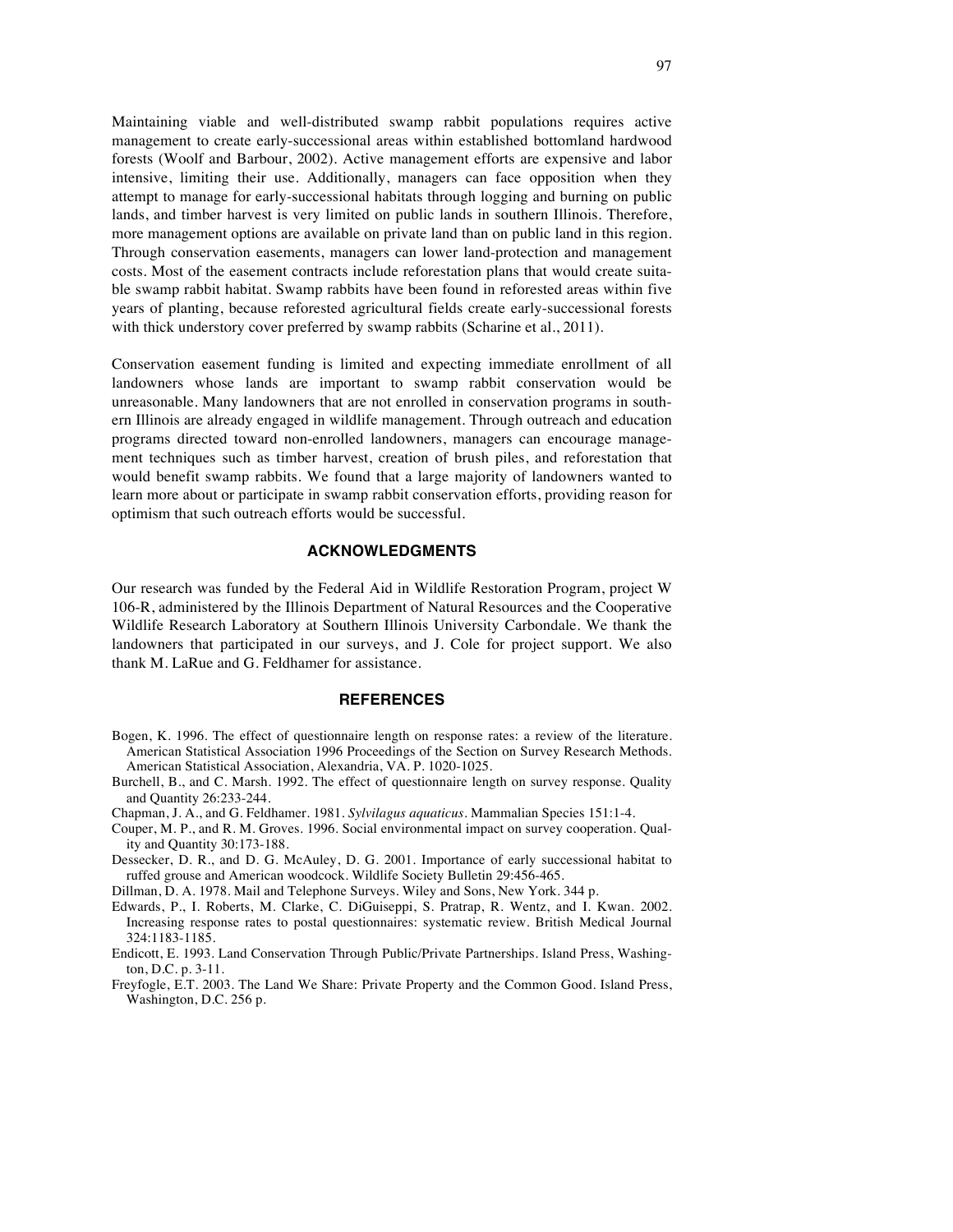Maintaining viable and well-distributed swamp rabbit populations requires active management to create early-successional areas within established bottomland hardwood forests (Woolf and Barbour, 2002). Active management efforts are expensive and labor intensive, limiting their use. Additionally, managers can face opposition when they attempt to manage for early-successional habitats through logging and burning on public lands, and timber harvest is very limited on public lands in southern Illinois. Therefore, more management options are available on private land than on public land in this region. Through conservation easements, managers can lower land-protection and management costs. Most of the easement contracts include reforestation plans that would create suitable swamp rabbit habitat. Swamp rabbits have been found in reforested areas within five years of planting, because reforested agricultural fields create early-successional forests with thick understory cover preferred by swamp rabbits (Scharine et al., 2011).

Conservation easement funding is limited and expecting immediate enrollment of all landowners whose lands are important to swamp rabbit conservation would be unreasonable. Many landowners that are not enrolled in conservation programs in southern Illinois are already engaged in wildlife management. Through outreach and education programs directed toward non-enrolled landowners, managers can encourage management techniques such as timber harvest, creation of brush piles, and reforestation that would benefit swamp rabbits. We found that a large majority of landowners wanted to learn more about or participate in swamp rabbit conservation efforts, providing reason for optimism that such outreach efforts would be successful.

#### **ACKNOWLEDGMENTS**

Our research was funded by the Federal Aid in Wildlife Restoration Program, project W 106-R, administered by the Illinois Department of Natural Resources and the Cooperative Wildlife Research Laboratory at Southern Illinois University Carbondale. We thank the landowners that participated in our surveys, and J. Cole for project support. We also thank M. LaRue and G. Feldhamer for assistance.

#### **REFERENCES**

- Bogen, K. 1996. The effect of questionnaire length on response rates: a review of the literature. American Statistical Association 1996 Proceedings of the Section on Survey Research Methods. American Statistical Association, Alexandria, VA. P. 1020-1025.
- Burchell, B., and C. Marsh. 1992. The effect of questionnaire length on survey response. Quality and Quantity 26:233-244.
- Chapman, J. A., and G. Feldhamer. 1981. *Sylvilagus aquaticus.* Mammalian Species 151:1-4.
- Couper, M. P., and R. M. Groves. 1996. Social environmental impact on survey cooperation. Quality and Quantity 30:173-188.
- Dessecker, D. R., and D. G. McAuley, D. G. 2001. Importance of early successional habitat to ruffed grouse and American woodcock. Wildlife Society Bulletin 29:456-465.
- Dillman, D. A. 1978. Mail and Telephone Surveys. Wiley and Sons, New York. 344 p.
- Edwards, P., I. Roberts, M. Clarke, C. DiGuiseppi, S. Pratrap, R. Wentz, and I. Kwan. 2002. Increasing response rates to postal questionnaires: systematic review. British Medical Journal 324:1183-1185.
- Endicott, E. 1993. Land Conservation Through Public/Private Partnerships. Island Press, Washington, D.C. p. 3-11.
- Freyfogle, E.T. 2003. The Land We Share: Private Property and the Common Good. Island Press, Washington, D.C. 256 p.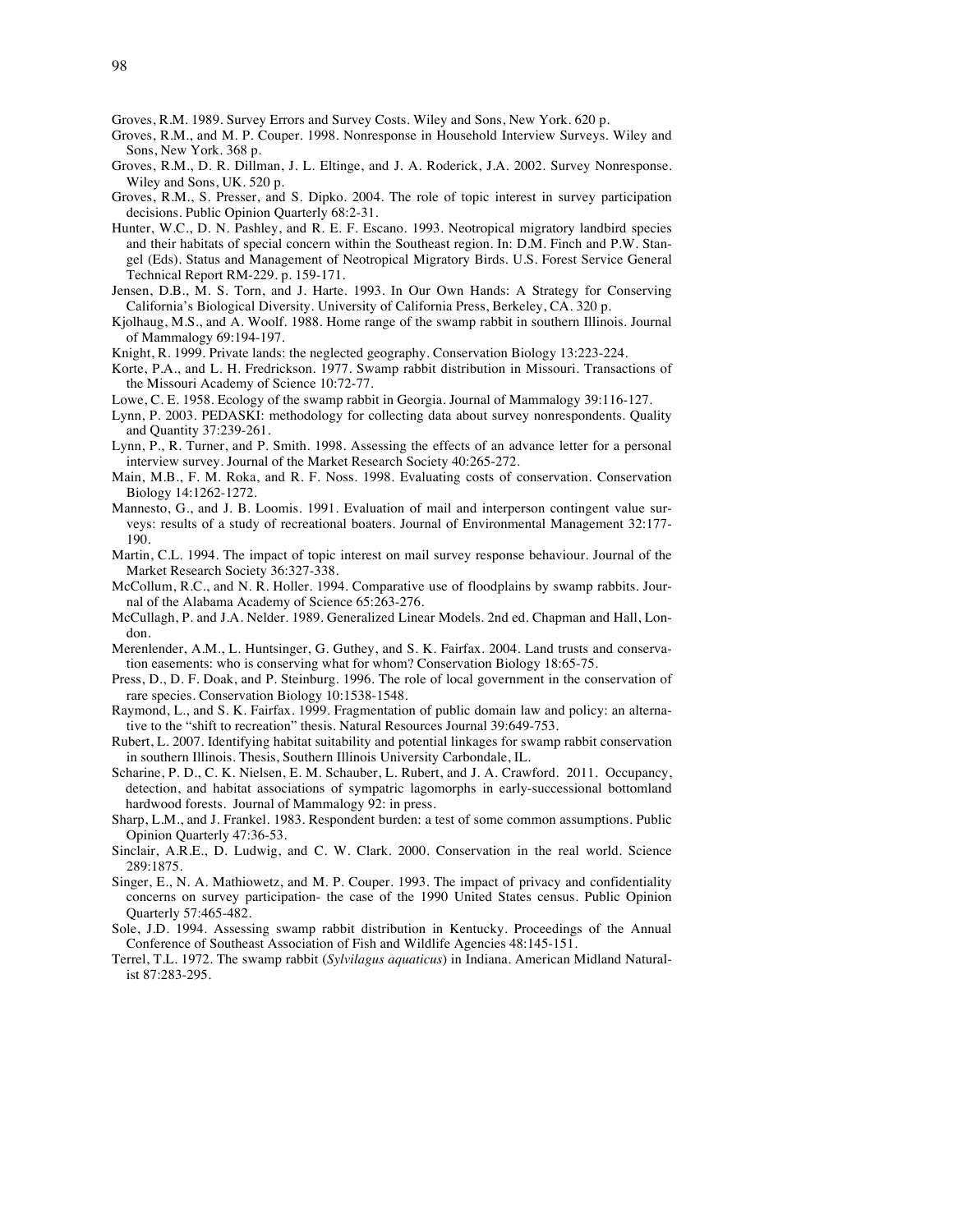Groves, R.M. 1989. Survey Errors and Survey Costs. Wiley and Sons, New York. 620 p.

- Groves, R.M., and M. P. Couper. 1998. Nonresponse in Household Interview Surveys. Wiley and Sons, New York. 368 p.
- Groves, R.M., D. R. Dillman, J. L. Eltinge, and J. A. Roderick, J.A. 2002. Survey Nonresponse. Wiley and Sons, UK. 520 p.
- Groves, R.M., S. Presser, and S. Dipko. 2004. The role of topic interest in survey participation decisions. Public Opinion Quarterly 68:2-31.
- Hunter, W.C., D. N. Pashley, and R. E. F. Escano. 1993. Neotropical migratory landbird species and their habitats of special concern within the Southeast region. In: D.M. Finch and P.W. Stangel (Eds). Status and Management of Neotropical Migratory Birds. U.S. Forest Service General Technical Report RM-229. p. 159-171.
- Jensen, D.B., M. S. Torn, and J. Harte. 1993. In Our Own Hands: A Strategy for Conserving California's Biological Diversity. University of California Press, Berkeley, CA. 320 p.
- Kjolhaug, M.S., and A. Woolf. 1988. Home range of the swamp rabbit in southern Illinois. Journal of Mammalogy 69:194-197.
- Knight, R. 1999. Private lands: the neglected geography. Conservation Biology 13:223-224.
- Korte, P.A., and L. H. Fredrickson. 1977. Swamp rabbit distribution in Missouri. Transactions of the Missouri Academy of Science 10:72-77.
- Lowe, C. E. 1958. Ecology of the swamp rabbit in Georgia. Journal of Mammalogy 39:116-127.
- Lynn, P. 2003. PEDASKI: methodology for collecting data about survey nonrespondents. Quality and Quantity 37:239-261.
- Lynn, P., R. Turner, and P. Smith. 1998. Assessing the effects of an advance letter for a personal interview survey. Journal of the Market Research Society 40:265-272.
- Main, M.B., F. M. Roka, and R. F. Noss. 1998. Evaluating costs of conservation. Conservation Biology 14:1262-1272.
- Mannesto, G., and J. B. Loomis. 1991. Evaluation of mail and interperson contingent value surveys: results of a study of recreational boaters. Journal of Environmental Management 32:177- 190.
- Martin, C.L. 1994. The impact of topic interest on mail survey response behaviour. Journal of the Market Research Society 36:327-338.
- McCollum, R.C., and N. R. Holler. 1994. Comparative use of floodplains by swamp rabbits. Journal of the Alabama Academy of Science 65:263-276.
- McCullagh, P. and J.A. Nelder. 1989. Generalized Linear Models. 2nd ed. Chapman and Hall, London.
- Merenlender, A.M., L. Huntsinger, G. Guthey, and S. K. Fairfax. 2004. Land trusts and conservation easements: who is conserving what for whom? Conservation Biology 18:65-75.
- Press, D., D. F. Doak, and P. Steinburg. 1996. The role of local government in the conservation of rare species. Conservation Biology 10:1538-1548.
- Raymond, L., and S. K. Fairfax. 1999. Fragmentation of public domain law and policy: an alternative to the "shift to recreation" thesis. Natural Resources Journal 39:649-753.
- Rubert, L. 2007. Identifying habitat suitability and potential linkages for swamp rabbit conservation in southern Illinois. Thesis, Southern Illinois University Carbondale, IL.
- Scharine, P. D., C. K. Nielsen, E. M. Schauber, L. Rubert, and J. A. Crawford. 2011. Occupancy, detection, and habitat associations of sympatric lagomorphs in early-successional bottomland hardwood forests. Journal of Mammalogy 92: in press.
- Sharp, L.M., and J. Frankel. 1983. Respondent burden: a test of some common assumptions. Public Opinion Quarterly 47:36-53.
- Sinclair, A.R.E., D. Ludwig, and C. W. Clark. 2000. Conservation in the real world. Science 289:1875.
- Singer, E., N. A. Mathiowetz, and M. P. Couper. 1993. The impact of privacy and confidentiality concerns on survey participation- the case of the 1990 United States census. Public Opinion Quarterly 57:465-482.
- Sole, J.D. 1994. Assessing swamp rabbit distribution in Kentucky. Proceedings of the Annual Conference of Southeast Association of Fish and Wildlife Agencies 48:145-151.
- Terrel, T.L. 1972. The swamp rabbit (*Sylvilagus aquaticus*) in Indiana. American Midland Naturalist 87:283-295.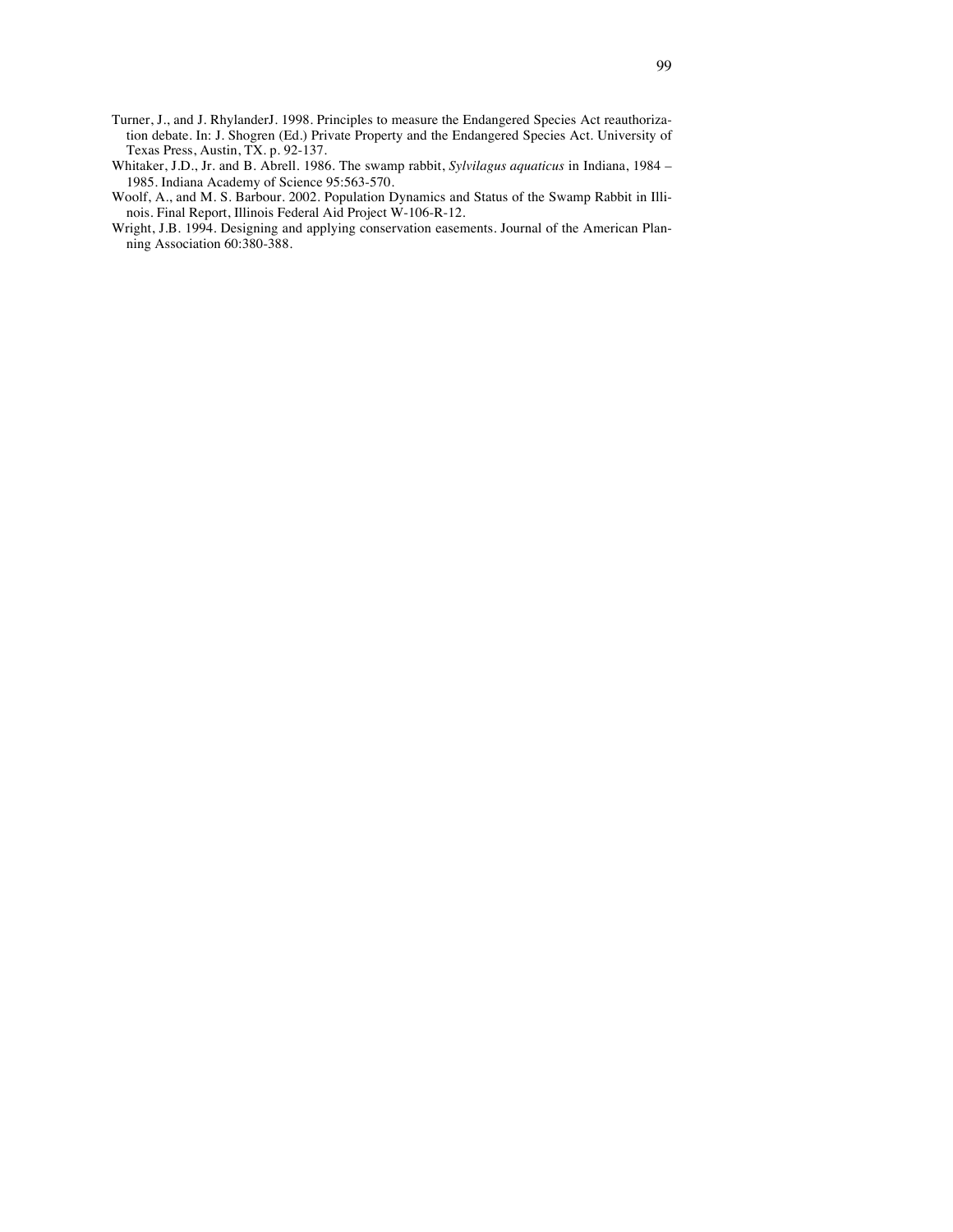- Turner, J., and J. RhylanderJ. 1998. Principles to measure the Endangered Species Act reauthorization debate. In: J. Shogren (Ed.) Private Property and the Endangered Species Act. University of Texas Press, Austin, TX. p. 92-137.
- Whitaker, J.D., Jr. and B. Abrell. 1986. The swamp rabbit, *Sylvilagus aquaticus* in Indiana, 1984 1985. Indiana Academy of Science 95:563-570.
- Woolf, A., and M. S. Barbour. 2002. Population Dynamics and Status of the Swamp Rabbit in Illinois. Final Report, Illinois Federal Aid Project W-106-R-12.
- Wright, J.B. 1994. Designing and applying conservation easements. Journal of the American Planning Association 60:380-388.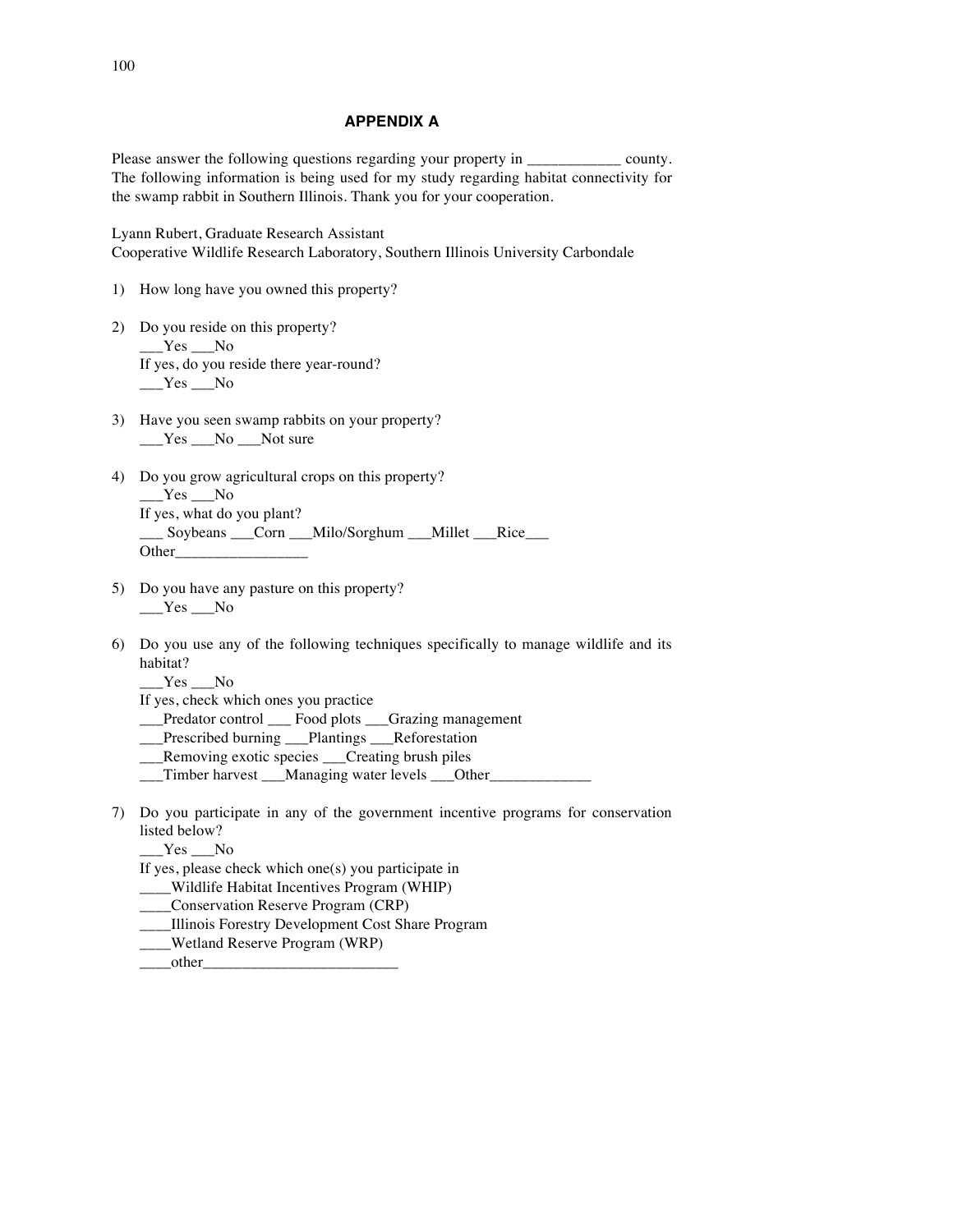#### **APPENDIX A**

Please answer the following questions regarding your property in \_\_\_\_\_\_\_\_\_\_\_\_\_\_ county. The following information is being used for my study regarding habitat connectivity for the swamp rabbit in Southern Illinois. Thank you for your cooperation.

Lyann Rubert, Graduate Research Assistant Cooperative Wildlife Research Laboratory, Southern Illinois University Carbondale

- 1) How long have you owned this property?
- 2) Do you reside on this property?  $Yes$  No If yes, do you reside there year-round?  $Yes$  No
- 3) Have you seen swamp rabbits on your property? \_\_\_Yes \_\_\_No \_\_\_Not sure
- 4) Do you grow agricultural crops on this property?  $Yes$  No If yes, what do you plant? \_\_\_ Soybeans \_\_\_Corn \_\_\_Milo/Sorghum \_\_\_Millet \_\_\_Rice\_\_\_ Other\_\_\_\_\_\_\_\_\_\_\_\_\_\_\_\_\_
- 5) Do you have any pasture on this property?  $Yes$  No
- 6) Do you use any of the following techniques specifically to manage wildlife and its habitat?
	- $Yes$  No

If yes, check which ones you practice

\_\_\_Predator control \_\_\_ Food plots \_\_\_Grazing management

- \_\_\_Prescribed burning \_\_\_Plantings \_\_\_Reforestation
- \_\_\_Removing exotic species \_\_\_Creating brush piles
- \_\_\_Timber harvest \_\_\_Managing water levels \_\_\_Other\_\_\_\_\_\_\_\_\_\_\_\_\_
- 7) Do you participate in any of the government incentive programs for conservation listed below?
	- Yes No

If yes, please check which one(s) you participate in

- \_\_\_\_Wildlife Habitat Incentives Program (WHIP)
- \_\_\_\_Conservation Reserve Program (CRP)
- \_\_\_\_Illinois Forestry Development Cost Share Program
- \_\_\_\_Wetland Reserve Program (WRP)
- $\qquad \qquad \text{other}$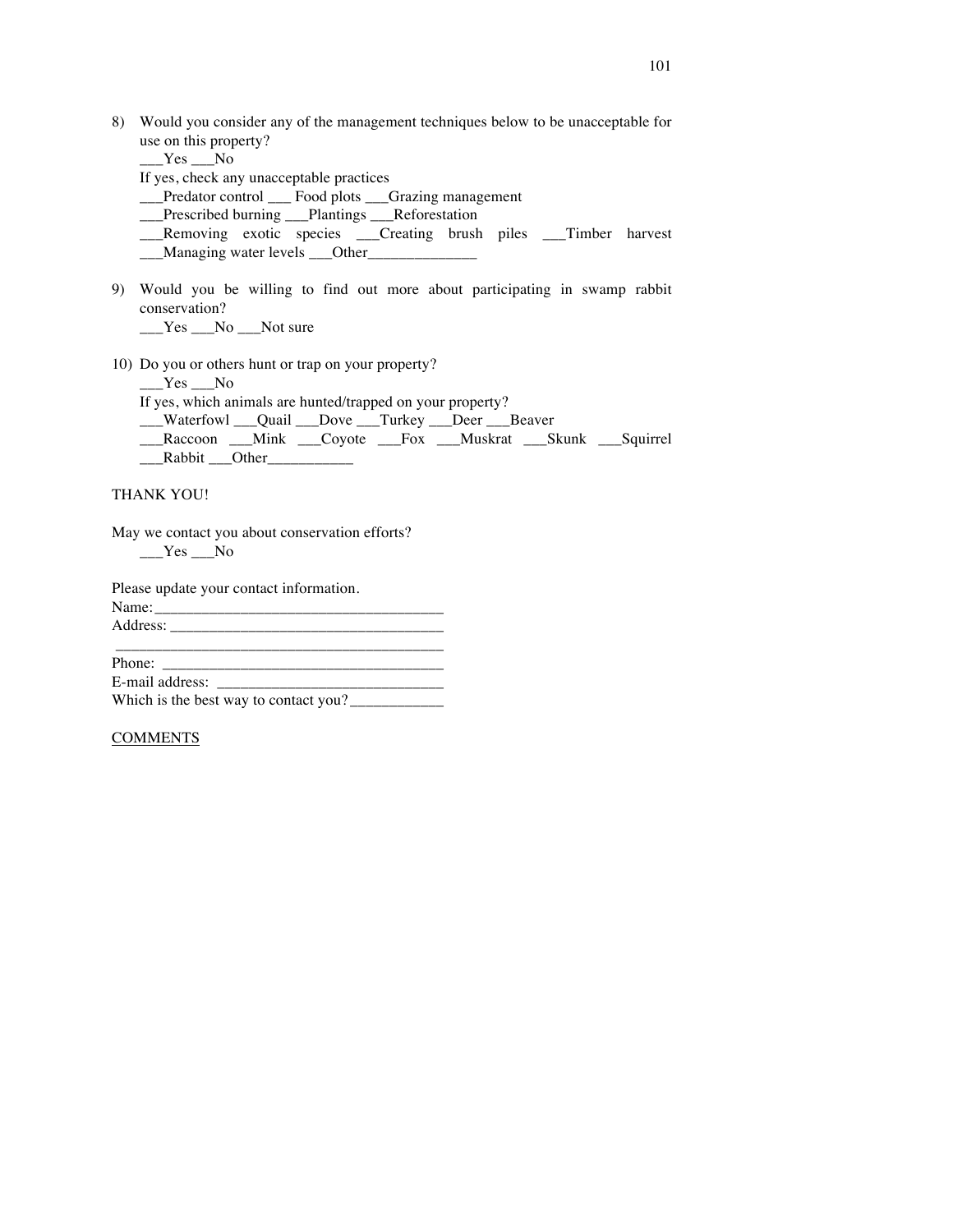| 8) Would you consider any of the management techniques below to be unacceptable for |
|-------------------------------------------------------------------------------------|
| use on this property?                                                               |

 $Yes$  No

If yes, check any unacceptable practices

\_\_\_Predator control \_\_\_ Food plots \_\_\_Grazing management

\_\_\_Prescribed burning \_\_\_Plantings \_\_\_Reforestation

\_\_\_Removing exotic species \_\_\_Creating brush piles \_\_\_Timber harvest \_\_\_Managing water levels \_\_\_Other\_\_\_\_\_\_\_\_\_\_\_\_\_\_

9) Would you be willing to find out more about participating in swamp rabbit conservation?

\_\_\_Yes \_\_\_No \_\_\_Not sure

10) Do you or others hunt or trap on your property?

 $Yes$  No

If yes, which animals are hunted/trapped on your property?

\_\_\_Waterfowl \_\_\_Quail \_\_\_Dove \_\_\_Turkey \_\_\_Deer \_\_\_Beaver

\_\_Raccoon \_\_\_Mink \_\_\_Coyote \_\_\_Fox \_\_\_Muskrat \_\_\_Skunk \_\_\_Squirrel  $\sqrt{Rabbit}$  Other

#### THANK YOU!

May we contact you about conservation efforts?  $Yes$  No

Please update your contact information. Name: $\_$ Address: \_\_\_\_\_\_\_\_\_\_\_\_\_\_\_\_\_\_\_\_\_\_\_\_\_\_\_\_\_\_\_\_\_\_\_

\_\_\_\_\_\_\_\_\_\_\_\_\_\_\_\_\_\_\_\_\_\_\_\_\_\_\_\_\_\_\_\_\_\_\_\_\_\_\_\_\_\_ Phone: \_\_\_\_\_\_\_\_\_\_\_\_\_\_\_\_\_\_\_\_\_\_\_\_\_\_\_\_\_\_\_\_\_\_\_\_ E-mail address: \_\_\_\_\_\_\_\_\_\_\_\_\_\_\_\_\_\_\_\_\_\_\_\_\_\_\_\_\_ Which is the best way to contact you? \_\_\_\_\_\_\_\_\_\_\_\_

#### COMMENTS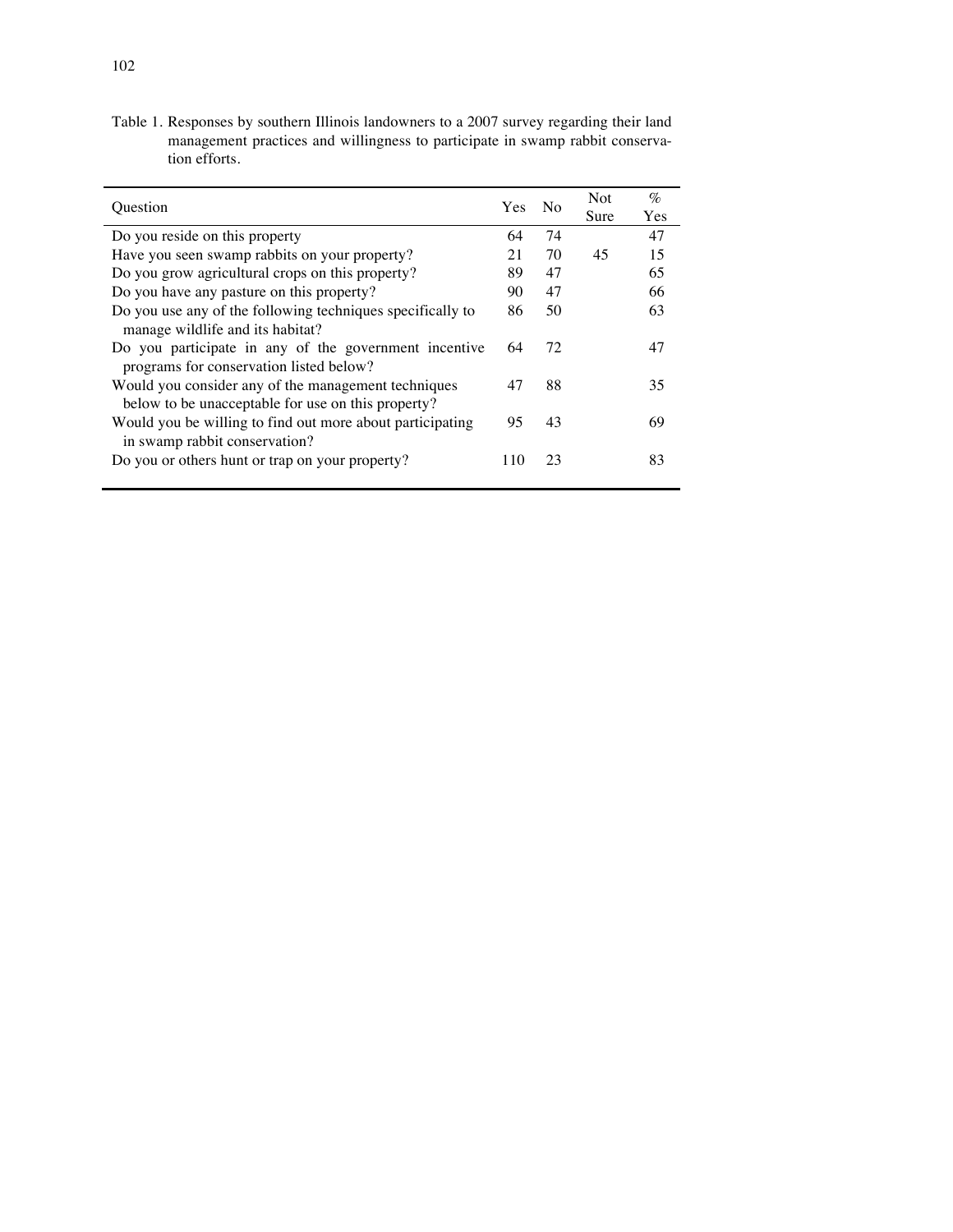Table 1. Responses by southern Illinois landowners to a 2007 survey regarding their land management practices and willingness to participate in swamp rabbit conservation efforts.

| Ouestion                                                                                                  | Yes. | No | <b>Not</b> | $\%$ |
|-----------------------------------------------------------------------------------------------------------|------|----|------------|------|
|                                                                                                           |      |    | Sure       | Yes  |
| Do you reside on this property                                                                            | 64   | 74 |            | 47   |
| Have you seen swamp rabbits on your property?                                                             | 21   | 70 | 45         | 15   |
| Do you grow agricultural crops on this property?                                                          | 89   | 47 |            | 65   |
| Do you have any pasture on this property?                                                                 | 90   | 47 |            | 66   |
| Do you use any of the following techniques specifically to<br>manage wildlife and its habitat?            | 86   | 50 |            | 63   |
| Do you participate in any of the government incentive<br>programs for conservation listed below?          | 64   | 72 |            | 47   |
| Would you consider any of the management techniques<br>below to be unacceptable for use on this property? | 47   | 88 |            | 35   |
| Would you be willing to find out more about participating<br>in swamp rabbit conservation?                | 95   | 43 |            | 69   |
| Do you or others hunt or trap on your property?                                                           | 110  | 23 |            | 83   |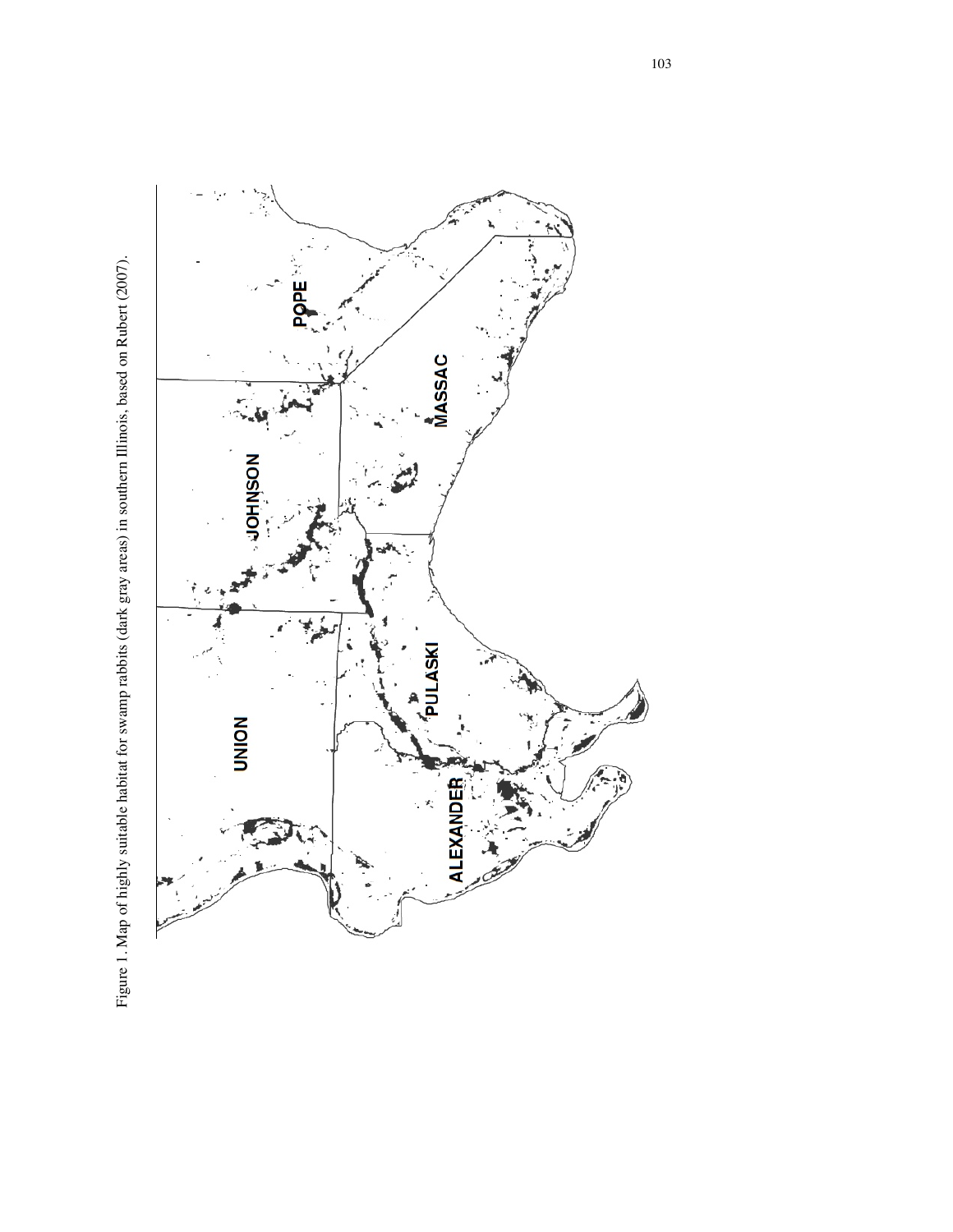Figure 1. Map of highly suitable habitat for swamp rabbits (dark gray areas) in southern Illinois, based on Rubert (2007). Figure 1. Map of highly suitable habitat for swamp rabbits (dark gray areas) in southern Illinois, based on Rubert (2007).